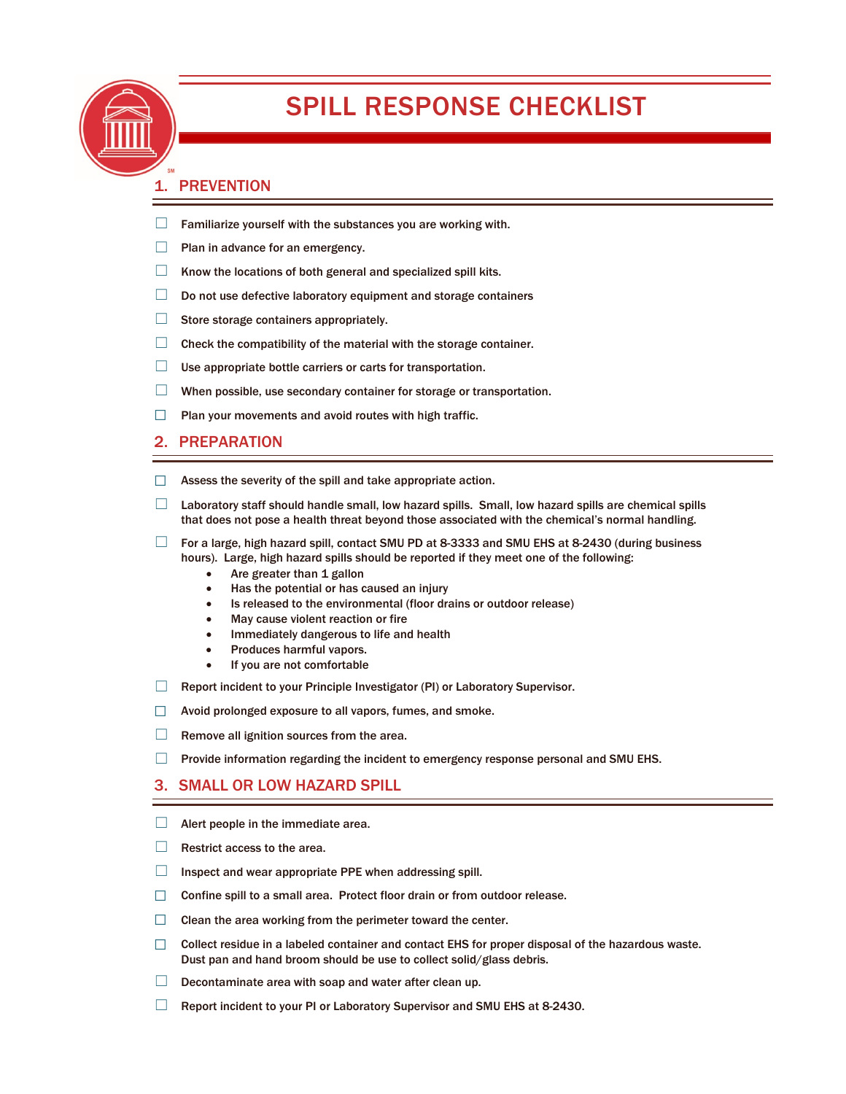

# SPILL RESPONSE CHECKLIST

## 1. PREVENTION

- $\Box$  Familiarize yourself with the substances you are working with.
- $\Box$  Plan in advance for an emergency.
- $\Box$  Know the locations of both general and specialized spill kits.
- □ Do not use defective laboratory equipment and storage containers
- □ Store storage containers appropriately.
- $\Box$  Check the compatibility of the material with the storage container.
- $\Box$  Use appropriate bottle carriers or carts for transportation.
- ☐ When possible, use secondary container for storage or transportation.
- $\Box$  Plan your movements and avoid routes with high traffic.

#### 2. PREPARATION

- $\Box$  Assess the severity of the spill and take appropriate action.
- $\Box$  Laboratory staff should handle small, low hazard spills. Small, low hazard spills are chemical spills that does not pose a health threat beyond those associated with the chemical's normal handling.
- $\Box$  For a large, high hazard spill, contact SMU PD at 8-3333 and SMU EHS at 8-2430 (during business hours). Large, high hazard spills should be reported if they meet one of the following:
	- Are greater than 1 gallon
	- Has the potential or has caused an injury
	- Is released to the environmental (floor drains or outdoor release)
	- May cause violent reaction or fire
	- Immediately dangerous to life and health
	- Produces harmful vapors.
	- If you are not comfortable
- □ Report incident to your Principle Investigator (PI) or Laboratory Supervisor.
- $\Box$  Avoid prolonged exposure to all vapors, fumes, and smoke.
- $\Box$  Remove all ignition sources from the area.
- $\Box$  Provide information regarding the incident to emergency response personal and SMU EHS.

### 3. SMALL OR LOW HAZARD SPILL

- $\Box$  Alert people in the immediate area.
- $\Box$  Restrict access to the area.
- ☐ Inspect and wear appropriate PPE when addressing spill.
- $\Box$  Confine spill to a small area. Protect floor drain or from outdoor release.
- ☐ Clean the area working from the perimeter toward the center.
- ☐ Collect residue in a labeled container and contact EHS for proper disposal of the hazardous waste. Dust pan and hand broom should be use to collect solid/glass debris.
- $\Box$  Decontaminate area with soap and water after clean up.
- $\Box$  Report incident to your PI or Laboratory Supervisor and SMU EHS at 8-2430.